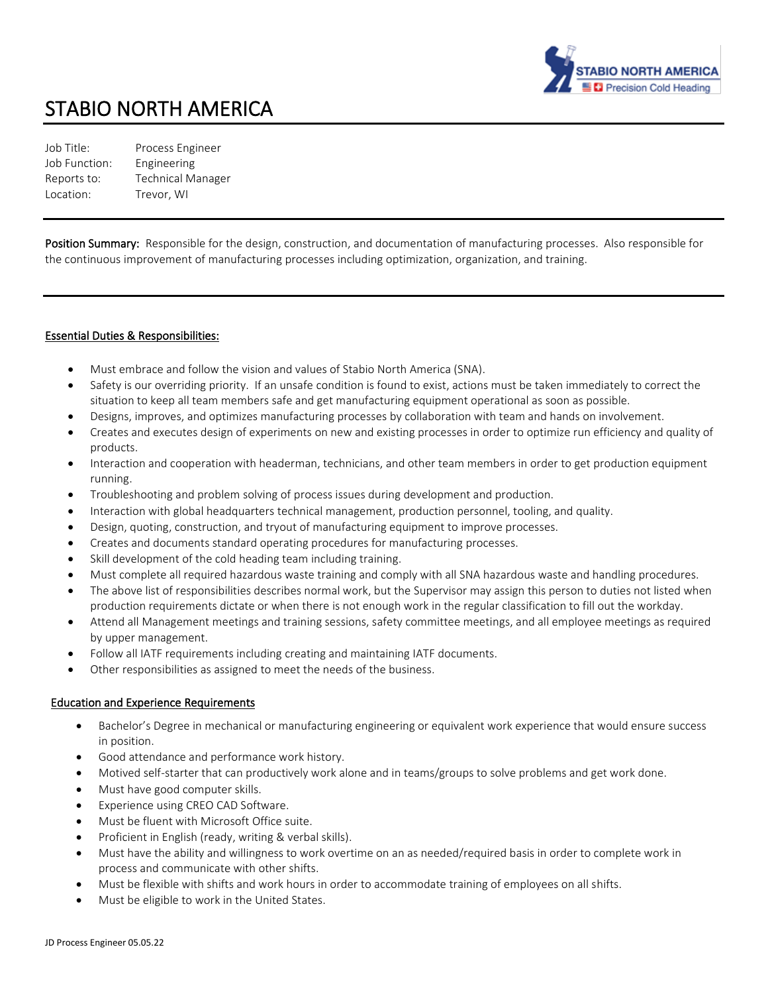

# STABIO NORTH AMERICA

Job Title: Process Engineer Job Function: Engineering Reports to: Technical Manager Location: Trevor, WI

Position Summary: Responsible for the design, construction, and documentation of manufacturing processes. Also responsible for the continuous improvement of manufacturing processes including optimization, organization, and training.

## Essential Duties & Responsibilities:

- Must embrace and follow the vision and values of Stabio North America (SNA).
- Safety is our overriding priority. If an unsafe condition is found to exist, actions must be taken immediately to correct the situation to keep all team members safe and get manufacturing equipment operational as soon as possible.
- Designs, improves, and optimizes manufacturing processes by collaboration with team and hands on involvement.
- Creates and executes design of experiments on new and existing processes in order to optimize run efficiency and quality of products.
- Interaction and cooperation with headerman, technicians, and other team members in order to get production equipment running.
- Troubleshooting and problem solving of process issues during development and production.
- Interaction with global headquarters technical management, production personnel, tooling, and quality.
- Design, quoting, construction, and tryout of manufacturing equipment to improve processes.
- Creates and documents standard operating procedures for manufacturing processes.
- Skill development of the cold heading team including training.
- Must complete all required hazardous waste training and comply with all SNA hazardous waste and handling procedures.
- The above list of responsibilities describes normal work, but the Supervisor may assign this person to duties not listed when production requirements dictate or when there is not enough work in the regular classification to fill out the workday.
- Attend all Management meetings and training sessions, safety committee meetings, and all employee meetings as required by upper management.
- Follow all IATF requirements including creating and maintaining IATF documents.
- Other responsibilities as assigned to meet the needs of the business.

#### Education and Experience Requirements

- Bachelor's Degree in mechanical or manufacturing engineering or equivalent work experience that would ensure success in position.
- Good attendance and performance work history.
- Motived self-starter that can productively work alone and in teams/groups to solve problems and get work done.
- Must have good computer skills.
- Experience using CREO CAD Software.
- Must be fluent with Microsoft Office suite.
- Proficient in English (ready, writing & verbal skills).
- Must have the ability and willingness to work overtime on an as needed/required basis in order to complete work in process and communicate with other shifts.
- Must be flexible with shifts and work hours in order to accommodate training of employees on all shifts.
- Must be eligible to work in the United States.